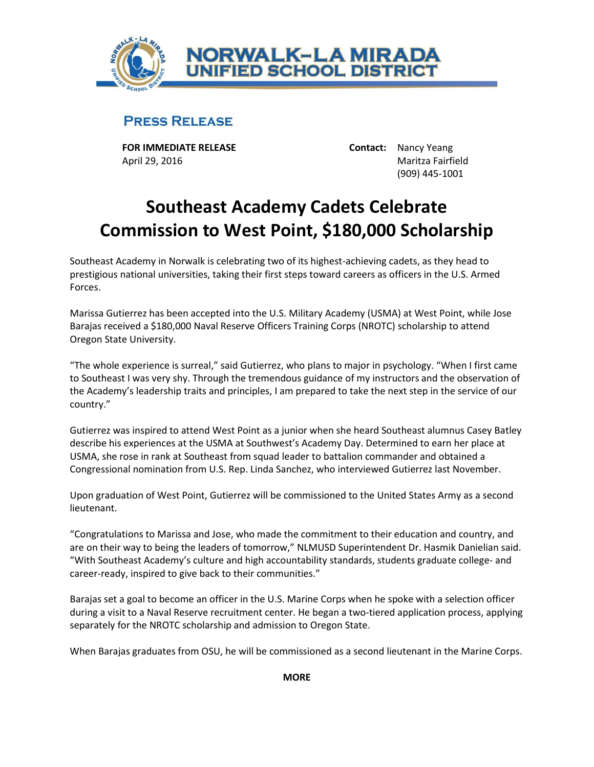

## **PRESS RELEASE**

**FOR IMMEDIATE RELEASE Contact:** Nancy Yeang April 29, 2016 Maritza Fairfield

(909) 445-1001

## **Southeast Academy Cadets Celebrate Commission to West Point, \$180,000 Scholarship**

Southeast Academy in Norwalk is celebrating two of its highest-achieving cadets, as they head to prestigious national universities, taking their first steps toward careers as officers in the U.S. Armed Forces.

Marissa Gutierrez has been accepted into the U.S. Military Academy (USMA) at West Point, while Jose Barajas received a \$180,000 Naval Reserve Officers Training Corps (NROTC) scholarship to attend Oregon State University.

"The whole experience is surreal," said Gutierrez, who plans to major in psychology. "When I first came to Southeast I was very shy. Through the tremendous guidance of my instructors and the observation of the Academy's leadership traits and principles, I am prepared to take the next step in the service of our country."

Gutierrez was inspired to attend West Point as a junior when she heard Southeast alumnus Casey Batley describe his experiences at the USMA at Southwest's Academy Day. Determined to earn her place at USMA, she rose in rank at Southeast from squad leader to battalion commander and obtained a Congressional nomination from U.S. Rep. Linda Sanchez, who interviewed Gutierrez last November.

Upon graduation of West Point, Gutierrez will be commissioned to the United States Army as a second lieutenant.

"Congratulations to Marissa and Jose, who made the commitment to their education and country, and are on their way to being the leaders of tomorrow," NLMUSD Superintendent Dr. Hasmik Danielian said. "With Southeast Academy's culture and high accountability standards, students graduate college- and career-ready, inspired to give back to their communities."

Barajas set a goal to become an officer in the U.S. Marine Corps when he spoke with a selection officer during a visit to a Naval Reserve recruitment center. He began a two-tiered application process, applying separately for the NROTC scholarship and admission to Oregon State.

When Barajas graduates from OSU, he will be commissioned as a second lieutenant in the Marine Corps.